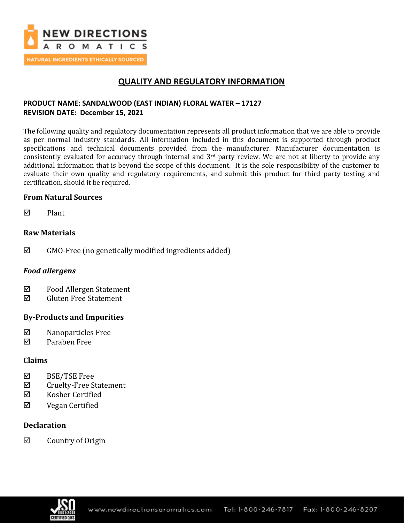

# **QUALITY AND REGULATORY INFORMATION**

## **PRODUCT NAME: SANDALWOOD (EAST INDIAN) FLORAL WATER – 17127 REVISION DATE: December 15, 2021**

The following quality and regulatory documentation represents all product information that we are able to provide as per normal industry standards. All information included in this document is supported through product specifications and technical documents provided from the manufacturer. Manufacturer documentation is consistently evaluated for accuracy through internal and 3rd party review. We are not at liberty to provide any additional information that is beyond the scope of this document. It is the sole responsibility of the customer to evaluate their own quality and regulatory requirements, and submit this product for third party testing and certification, should it be required.

### **From Natural Sources**

 $\nabla$  Plant

## **Raw Materials**

 $\boxtimes$  GMO-Free (no genetically modified ingredients added)

## *Food allergens*

- $\Phi$  Food Allergen Statement
- Gluten Free Statement

## **By-Products and Impurities**

- $\boxtimes$  Nanoparticles Free
- Paraben Free

### **Claims**

- $\boxtimes$  BSE/TSE Free
- $\Phi$  Cruelty-Free Statement
- $\boxtimes$  Kosher Certified
- Vegan Certified

### **Declaration**

 $\boxtimes$  Country of Origin

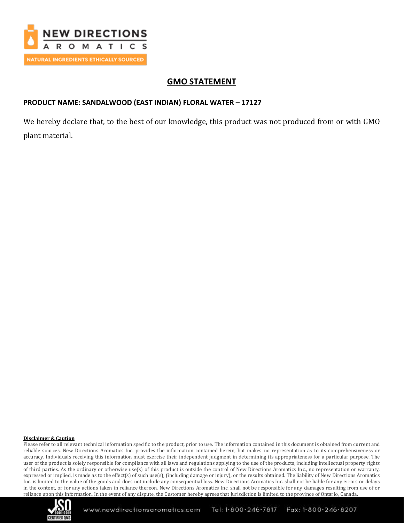

# **GMO STATEMENT**

## **PRODUCT NAME: SANDALWOOD (EAST INDIAN) FLORAL WATER – 17127**

We hereby declare that, to the best of our knowledge, this product was not produced from or with GMO plant material.

#### **Disclaimer & Caution**

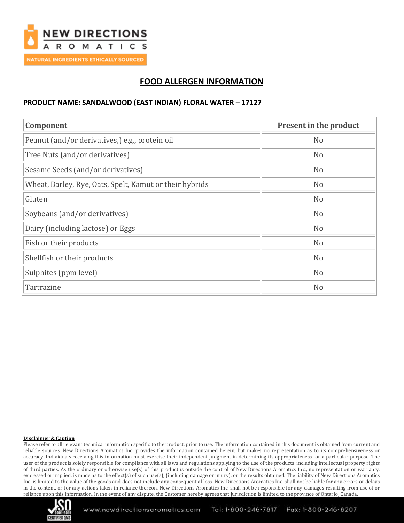

# **FOOD ALLERGEN INFORMATION**

#### **PRODUCT NAME: SANDALWOOD (EAST INDIAN) FLORAL WATER – 17127**

| Component                                               | Present in the product |
|---------------------------------------------------------|------------------------|
| Peanut (and/or derivatives,) e.g., protein oil          | N <sub>o</sub>         |
| Tree Nuts (and/or derivatives)                          | N <sub>o</sub>         |
| Sesame Seeds (and/or derivatives)                       | N <sub>o</sub>         |
| Wheat, Barley, Rye, Oats, Spelt, Kamut or their hybrids | N <sub>o</sub>         |
| Gluten                                                  | N <sub>o</sub>         |
| Soybeans (and/or derivatives)                           | N <sub>o</sub>         |
| Dairy (including lactose) or Eggs                       | N <sub>o</sub>         |
| Fish or their products                                  | N <sub>o</sub>         |
| Shellfish or their products                             | N <sub>o</sub>         |
| Sulphites (ppm level)                                   | N <sub>o</sub>         |
| Tartrazine                                              | N <sub>o</sub>         |

#### **Disclaimer & Caution**

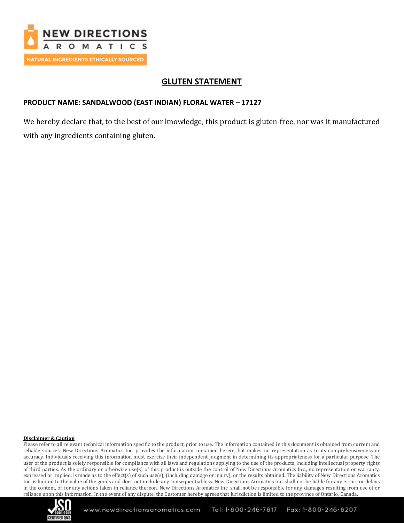

# **GLUTEN STATEMENT**

### **PRODUCT NAME: SANDALWOOD (EAST INDIAN) FLORAL WATER – 17127**

We hereby declare that, to the best of our knowledge, this product is gluten-free, nor was it manufactured with any ingredients containing gluten.

#### **Disclaimer & Caution**

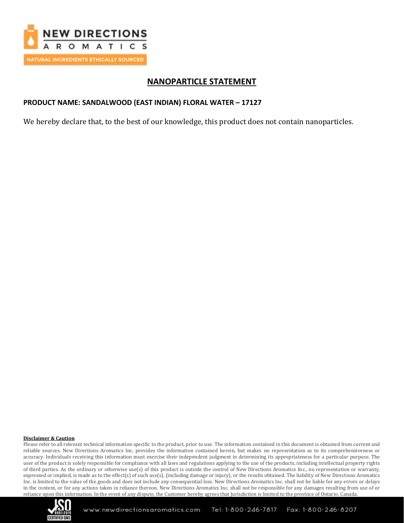

# **NANOPARTICLE STATEMENT**

### **PRODUCT NAME: SANDALWOOD (EAST INDIAN) FLORAL WATER – 17127**

We hereby declare that, to the best of our knowledge, this product does not contain nanoparticles.

#### **Disclaimer & Caution**

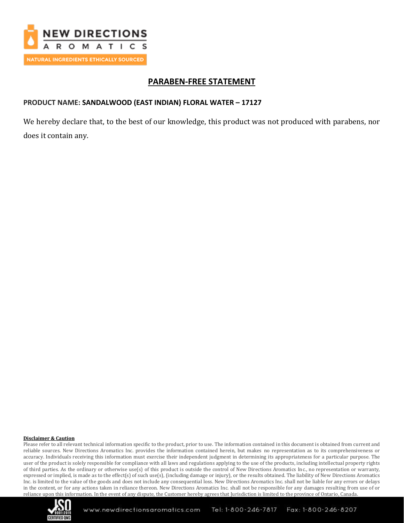

# **PARABEN-FREE STATEMENT**

### **PRODUCT NAME: SANDALWOOD (EAST INDIAN) FLORAL WATER – 17127**

We hereby declare that, to the best of our knowledge, this product was not produced with parabens, nor does it contain any.

#### **Disclaimer & Caution**

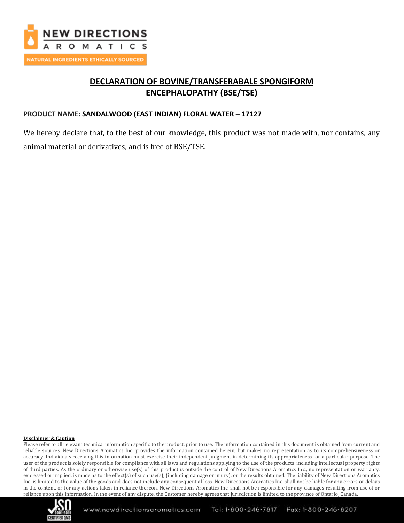

# **DECLARATION OF BOVINE/TRANSFERABALE SPONGIFORM ENCEPHALOPATHY (BSE/TSE)**

### **PRODUCT NAME: SANDALWOOD (EAST INDIAN) FLORAL WATER – 17127**

We hereby declare that, to the best of our knowledge, this product was not made with, nor contains, any animal material or derivatives, and is free of BSE/TSE.

#### **Disclaimer & Caution**

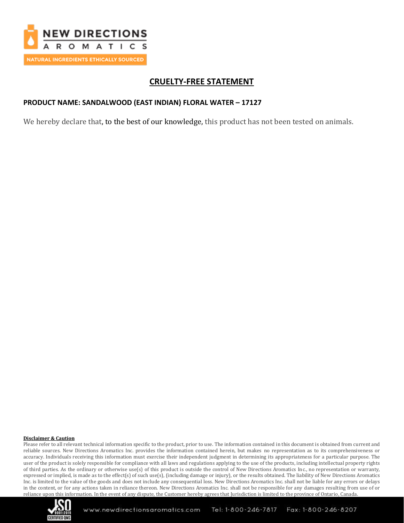

# **CRUELTY-FREE STATEMENT**

### **PRODUCT NAME: SANDALWOOD (EAST INDIAN) FLORAL WATER – 17127**

We hereby declare that, to the best of our knowledge, this product has not been tested on animals.

#### **Disclaimer & Caution**

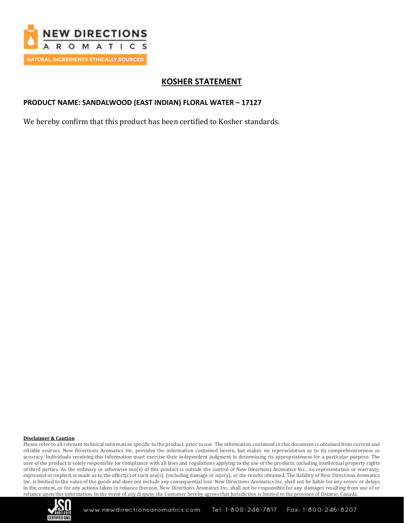

# **KOSHER STATEMENT**

### **PRODUCT NAME: SANDALWOOD (EAST INDIAN) FLORAL WATER – 17127**

We hereby confirm that this product has been certified to Kosher standards.

#### **Disclaimer & Caution**

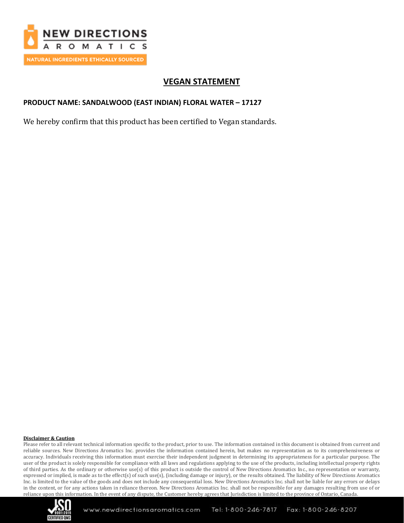

# **VEGAN STATEMENT**

### **PRODUCT NAME: SANDALWOOD (EAST INDIAN) FLORAL WATER – 17127**

We hereby confirm that this product has been certified to Vegan standards.

#### **Disclaimer & Caution**